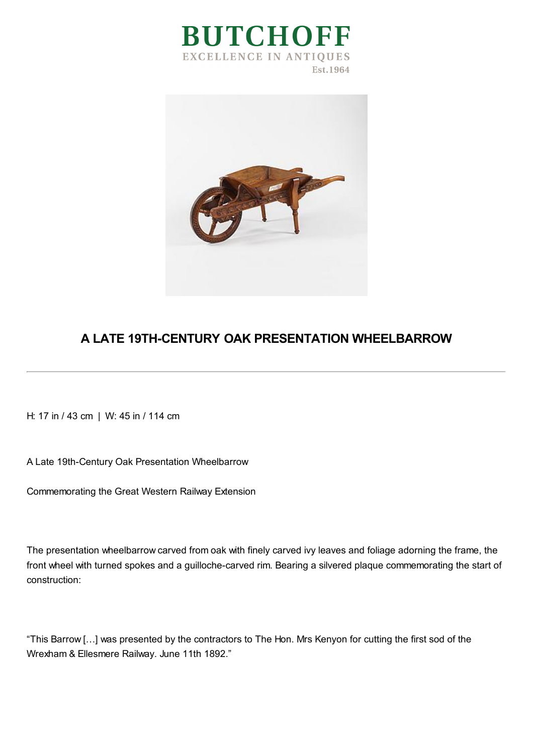



## **A LATE 19TH-CENTURY OAK PRESENTATION WHEELBARROW**

H: 17 in / 43 cm | W: 45 in / 114 cm

A Late 19th-Century Oak Presentation Wheelbarrow

Commemorating the Great Western Railway Extension

The presentation wheelbarrow carved from oak with finely carved ivy leaves and foliage adorning the frame, the front wheel with turned spokes and a guilloche-carved rim. Bearing a silvered plaque commemorating the start of construction:

"This Barrow […] was presented by the contractors to The Hon. Mrs Kenyon for cutting the first sod of the Wrexham & Ellesmere Railway. June 11th 1892."